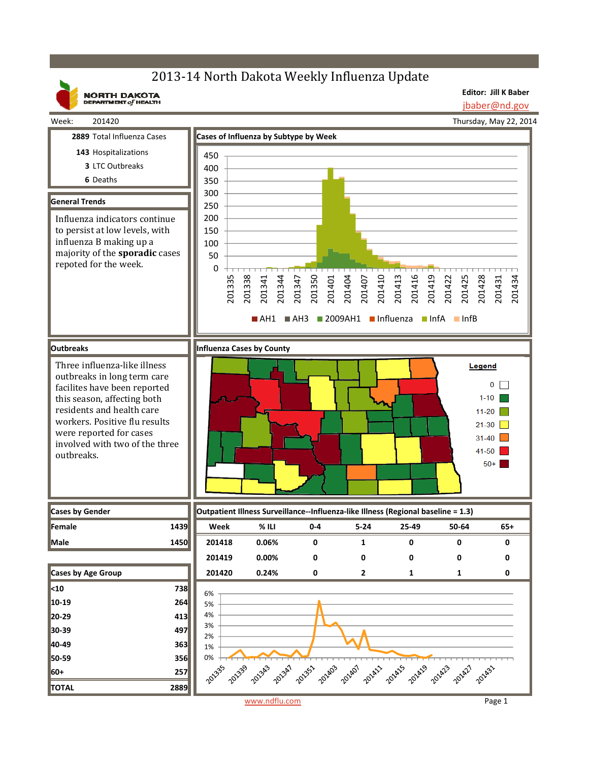# 2013-14 North Dakota Weekly Influenza Update

**NORTH DAKOTA**<br>DEPARTMENT of HEALTH

**Editor: Jill K Baber** jbaber@nd.gov